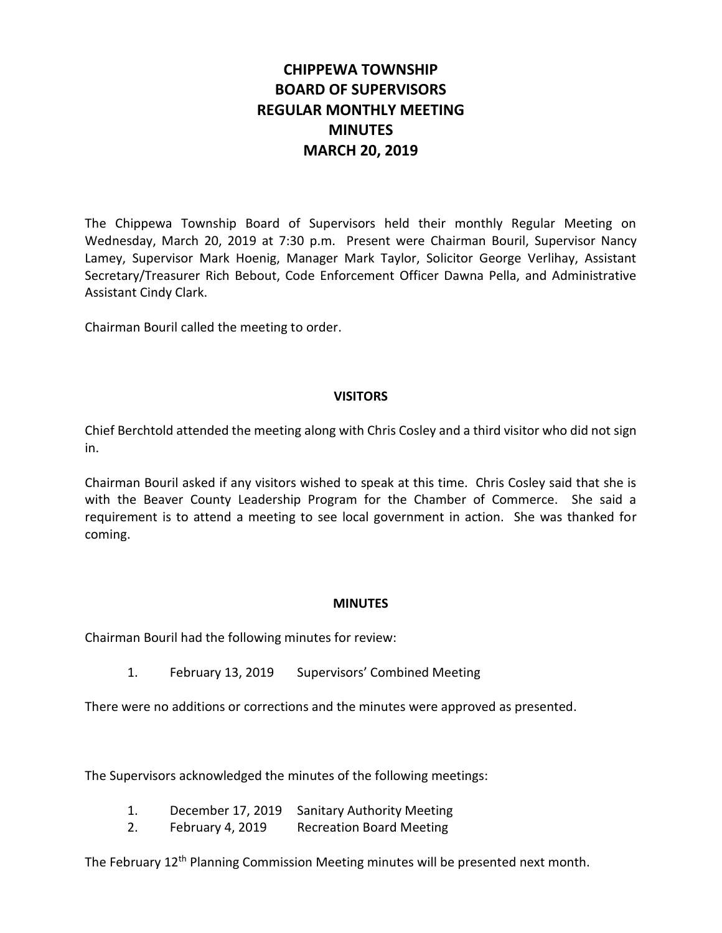# **CHIPPEWA TOWNSHIP BOARD OF SUPERVISORS REGULAR MONTHLY MEETING MINUTES MARCH 20, 2019**

The Chippewa Township Board of Supervisors held their monthly Regular Meeting on Wednesday, March 20, 2019 at 7:30 p.m. Present were Chairman Bouril, Supervisor Nancy Lamey, Supervisor Mark Hoenig, Manager Mark Taylor, Solicitor George Verlihay, Assistant Secretary/Treasurer Rich Bebout, Code Enforcement Officer Dawna Pella, and Administrative Assistant Cindy Clark.

Chairman Bouril called the meeting to order.

#### **VISITORS**

Chief Berchtold attended the meeting along with Chris Cosley and a third visitor who did not sign in.

Chairman Bouril asked if any visitors wished to speak at this time. Chris Cosley said that she is with the Beaver County Leadership Program for the Chamber of Commerce. She said a requirement is to attend a meeting to see local government in action. She was thanked for coming.

## **MINUTES**

Chairman Bouril had the following minutes for review:

1. February 13, 2019 Supervisors' Combined Meeting

There were no additions or corrections and the minutes were approved as presented.

The Supervisors acknowledged the minutes of the following meetings:

- 1. December 17, 2019 Sanitary Authority Meeting
- 2. February 4, 2019 Recreation Board Meeting

The February 12<sup>th</sup> Planning Commission Meeting minutes will be presented next month.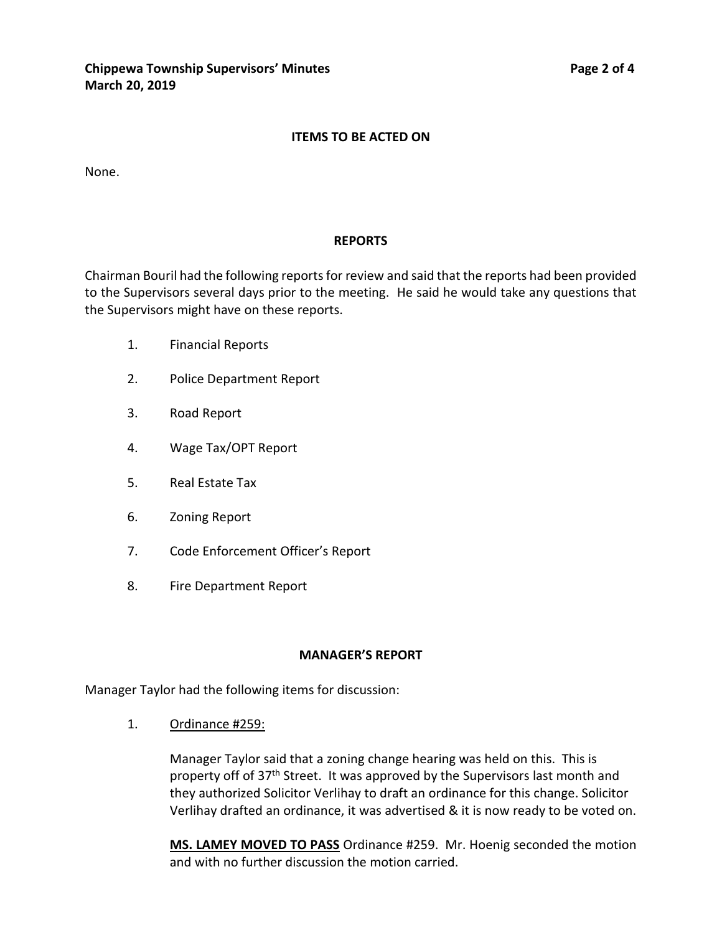#### **ITEMS TO BE ACTED ON**

None.

#### **REPORTS**

Chairman Bouril had the following reports for review and said that the reports had been provided to the Supervisors several days prior to the meeting. He said he would take any questions that the Supervisors might have on these reports.

- 1. Financial Reports
- 2. Police Department Report
- 3. Road Report
- 4. Wage Tax/OPT Report
- 5. Real Estate Tax
- 6. Zoning Report
- 7. Code Enforcement Officer's Report
- 8. Fire Department Report

#### **MANAGER'S REPORT**

Manager Taylor had the following items for discussion:

1. Ordinance #259:

Manager Taylor said that a zoning change hearing was held on this. This is property off of 37<sup>th</sup> Street. It was approved by the Supervisors last month and they authorized Solicitor Verlihay to draft an ordinance for this change. Solicitor Verlihay drafted an ordinance, it was advertised & it is now ready to be voted on.

**MS. LAMEY MOVED TO PASS** Ordinance #259. Mr. Hoenig seconded the motion and with no further discussion the motion carried.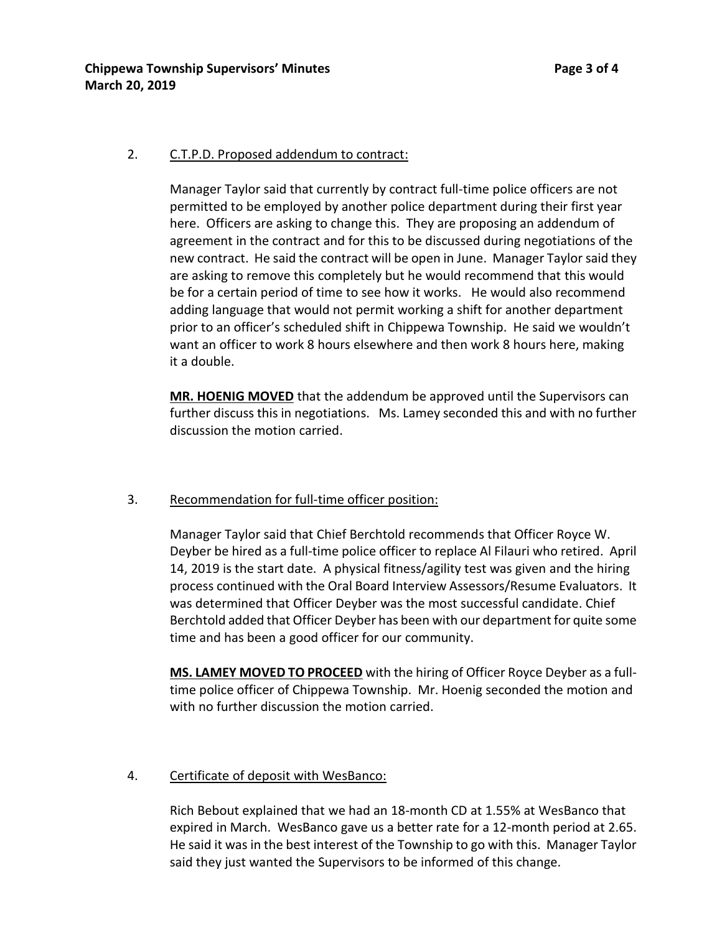## 2. C.T.P.D. Proposed addendum to contract:

Manager Taylor said that currently by contract full-time police officers are not permitted to be employed by another police department during their first year here. Officers are asking to change this. They are proposing an addendum of agreement in the contract and for this to be discussed during negotiations of the new contract. He said the contract will be open in June. Manager Taylor said they are asking to remove this completely but he would recommend that this would be for a certain period of time to see how it works. He would also recommend adding language that would not permit working a shift for another department prior to an officer's scheduled shift in Chippewa Township. He said we wouldn't want an officer to work 8 hours elsewhere and then work 8 hours here, making it a double.

**MR. HOENIG MOVED** that the addendum be approved until the Supervisors can further discuss this in negotiations. Ms. Lamey seconded this and with no further discussion the motion carried.

## 3. Recommendation for full-time officer position:

Manager Taylor said that Chief Berchtold recommends that Officer Royce W. Deyber be hired as a full-time police officer to replace Al Filauri who retired. April 14, 2019 is the start date. A physical fitness/agility test was given and the hiring process continued with the Oral Board Interview Assessors/Resume Evaluators. It was determined that Officer Deyber was the most successful candidate. Chief Berchtold added that Officer Deyber has been with our department for quite some time and has been a good officer for our community.

**MS. LAMEY MOVED TO PROCEED** with the hiring of Officer Royce Deyber as a fulltime police officer of Chippewa Township. Mr. Hoenig seconded the motion and with no further discussion the motion carried.

# 4. Certificate of deposit with WesBanco:

Rich Bebout explained that we had an 18-month CD at 1.55% at WesBanco that expired in March. WesBanco gave us a better rate for a 12-month period at 2.65. He said it was in the best interest of the Township to go with this. Manager Taylor said they just wanted the Supervisors to be informed of this change.